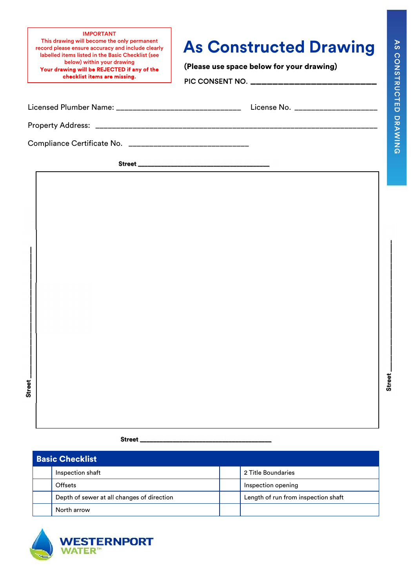IMPORTANT This drawing will become the only permanent record please ensure accuracy and include clearly labelled items listed in the Basic Checklist (see below) within your drawing Your drawing will be REJECTED if any of the checklist items are missing.

## **As Constructed Drawing**

(Please use space below for your drawing)

PIC CONSENT NO. \_\_\_\_\_\_\_\_\_\_\_\_\_\_\_\_\_\_\_\_\_\_\_\_\_\_\_

Property Address: \_\_\_\_\_\_\_\_\_\_\_\_\_\_\_\_\_\_\_\_\_\_\_\_\_\_\_\_\_\_\_\_\_\_\_\_\_\_\_\_\_\_\_\_\_\_\_\_\_\_\_\_\_\_\_\_\_\_\_\_\_\_\_\_\_\_\_\_

Compliance Certificate No. \_\_\_\_\_\_\_\_\_\_\_\_\_\_\_\_\_\_\_\_\_\_\_\_\_\_\_\_\_

Street\_

**Street \_\_\_\_\_\_\_\_\_\_\_\_\_\_\_\_\_\_\_\_\_\_\_\_\_\_\_\_\_\_\_\_\_\_\_\_\_\_\_\_**  Street

## **Street Street**

**Street \_\_\_\_\_\_\_\_\_\_\_\_\_\_\_\_\_\_\_\_\_\_\_\_\_\_\_\_\_\_\_\_\_\_\_\_\_\_\_\_** 

| <b>Basic Checklist</b> |                                            |  |                                     |
|------------------------|--------------------------------------------|--|-------------------------------------|
|                        | Inspection shaft                           |  | 2 Title Boundaries                  |
|                        | Offsets                                    |  | Inspection opening                  |
|                        | Depth of sewer at all changes of direction |  | Length of run from inspection shaft |
|                        | North arrow                                |  |                                     |